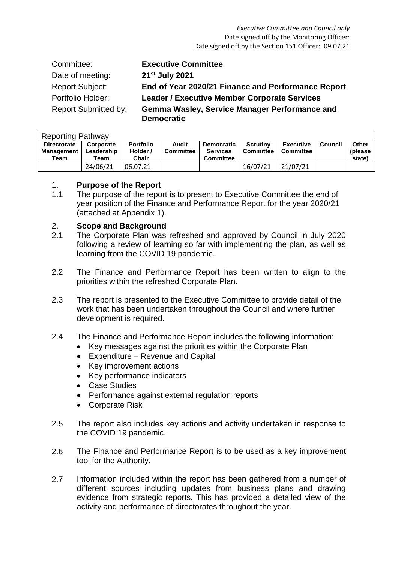| Committee:                  | <b>Executive Committee</b>                                         |
|-----------------------------|--------------------------------------------------------------------|
| Date of meeting:            | 21 <sup>st</sup> July 2021                                         |
| <b>Report Subject:</b>      | End of Year 2020/21 Finance and Performance Report                 |
| Portfolio Holder:           | <b>Leader / Executive Member Corporate Services</b>                |
| <b>Report Submitted by:</b> | Gemma Wasley, Service Manager Performance and<br><b>Democratic</b> |

| <b>Reporting Pathway</b>                        |                                 |                                       |                           |                                                          |                              |                        |         |                                    |  |  |
|-------------------------------------------------|---------------------------------|---------------------------------------|---------------------------|----------------------------------------------------------|------------------------------|------------------------|---------|------------------------------------|--|--|
| <b>Directorate</b><br><b>Management</b><br>Team | Corporate<br>Leadership<br>Team | <b>Portfolio</b><br>Holder /<br>Chair | Audit<br><b>Committee</b> | <b>Democratic</b><br><b>Services</b><br><b>Committee</b> | Scrutiny<br><b>Committee</b> | Executive<br>Committee | Council | <b>Other</b><br>(please)<br>state) |  |  |
|                                                 | 24/06/21                        | 06.07.21                              |                           |                                                          | 16/07/21                     | 21/07/21               |         |                                    |  |  |

#### 1. **Purpose of the Report**

1.1 The purpose of the report is to present to Executive Committee the end of year position of the Finance and Performance Report for the year 2020/21 (attached at Appendix 1).

# 2. **Scope and Background**

- 2.1 The Corporate Plan was refreshed and approved by Council in July 2020 following a review of learning so far with implementing the plan, as well as learning from the COVID 19 pandemic.
- 2.2 The Finance and Performance Report has been written to align to the priorities within the refreshed Corporate Plan.
- 2.3 The report is presented to the Executive Committee to provide detail of the work that has been undertaken throughout the Council and where further development is required.
- 2.4 The Finance and Performance Report includes the following information:
	- Key messages against the priorities within the Corporate Plan
	- Expenditure Revenue and Capital
	- Key improvement actions
	- Key performance indicators
	- Case Studies
	- Performance against external regulation reports
	- Corporate Risk
- 2.5 The report also includes key actions and activity undertaken in response to the COVID 19 pandemic.
- 2.6 The Finance and Performance Report is to be used as a key improvement tool for the Authority.
- 2.7 Information included within the report has been gathered from a number of different sources including updates from business plans and drawing evidence from strategic reports. This has provided a detailed view of the activity and performance of directorates throughout the year.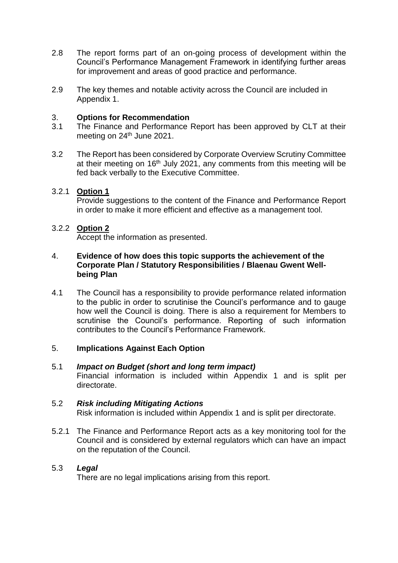- 2.8 The report forms part of an on-going process of development within the Council's Performance Management Framework in identifying further areas for improvement and areas of good practice and performance.
- 2.9 The key themes and notable activity across the Council are included in Appendix 1.

#### 3. **Options for Recommendation**

- 3.1 The Finance and Performance Report has been approved by CLT at their meeting on 24<sup>th</sup> June 2021.
- 3.2 The Report has been considered by Corporate Overview Scrutiny Committee at their meeting on  $16<sup>th</sup>$  July 2021, any comments from this meeting will be fed back verbally to the Executive Committee.

# 3.2.1 **Option 1**

Provide suggestions to the content of the Finance and Performance Report in order to make it more efficient and effective as a management tool.

# 3.2.2 **Option 2**

Accept the information as presented.

#### 4. **Evidence of how does this topic supports the achievement of the Corporate Plan / Statutory Responsibilities / Blaenau Gwent Wellbeing Plan**

4.1 The Council has a responsibility to provide performance related information to the public in order to scrutinise the Council's performance and to gauge how well the Council is doing. There is also a requirement for Members to scrutinise the Council's performance. Reporting of such information contributes to the Council's Performance Framework.

# 5. **Implications Against Each Option**

5.1 *Impact on Budget (short and long term impact)* Financial information is included within Appendix 1 and is split per directorate.

#### 5.2 *Risk including Mitigating Actions*

Risk information is included within Appendix 1 and is split per directorate.

5.2.1 The Finance and Performance Report acts as a key monitoring tool for the Council and is considered by external regulators which can have an impact on the reputation of the Council.

# 5.3 *Legal*

There are no legal implications arising from this report.